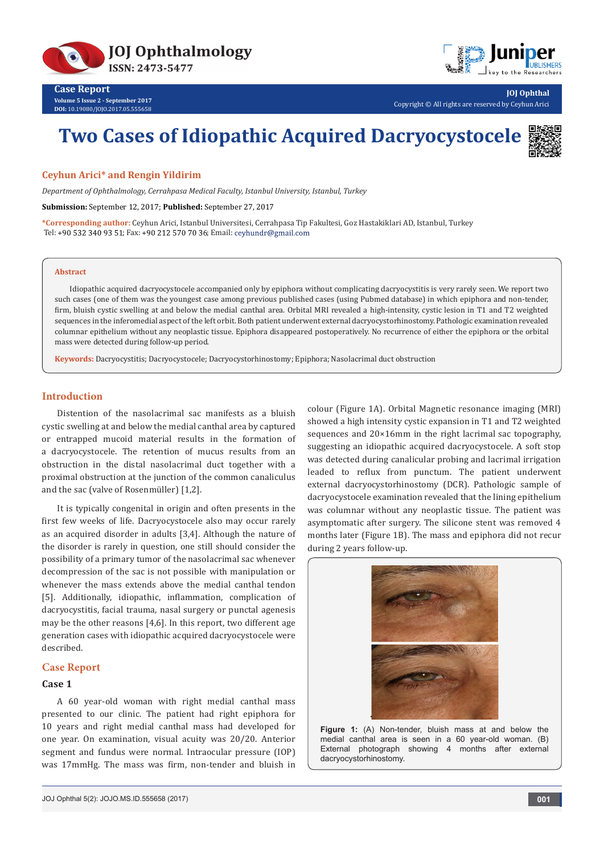



**Case Report Volume 5 Issue 2 - September 2017 DOI:** [10.19080/JOJO.2017.05.555658](http://dx.doi.org/10.19080/JOJO.2017.05.555658)

**JOJ Ophthal** Copyright © All rights are reserved by Ceyhun Arici

# **Two Cases of Idiopathic Acquired Dacryocystocele**



## **Ceyhun Arici\* and Rengin Yildirim**

*Department of Ophthalmology, Cerrahpasa Medical Faculty, Istanbul University, Istanbul, Turkey*

**Submission:** September 12, 2017; **Published:** September 27, 2017

**\*Corresponding author:** Ceyhun Arici, Istanbul Universitesi, Cerrahpasa Tip Fakultesi, Goz Hastakiklari AD, Istanbul, Turkey Tel: +90 532 340 93 51; Fax: +90 212 570 70 36; Email: ceyhundr@gmail.com

#### **Abstract**

Idiopathic acquired dacryocystocele accompanied only by epiphora without complicating dacryocystitis is very rarely seen. We report two such cases (one of them was the youngest case among previous published cases (using Pubmed database) in which epiphora and non-tender, firm, bluish cystic swelling at and below the medial canthal area. Orbital MRI revealed a high-intensity, cystic lesion in T1 and T2 weighted sequences in the inferomedial aspect of the left orbit. Both patient underwent external dacryocystorhinostomy. Pathologic examination revealed columnar epithelium without any neoplastic tissue. Epiphora disappeared postoperatively. No recurrence of either the epiphora or the orbital mass were detected during follow-up period.

**Keywords:** Dacryocystitis; Dacryocystocele; Dacryocystorhinostomy; Epiphora; Nasolacrimal duct obstruction

# **Introduction**

Distention of the nasolacrimal sac manifests as a bluish cystic swelling at and below the medial canthal area by captured or entrapped mucoid material results in the formation of a dacryocystocele. The retention of mucus results from an obstruction in the distal nasolacrimal duct together with a proximal obstruction at the junction of the common canaliculus and the sac (valve of Rosenmüller) [1,2].

It is typically congenital in origin and often presents in the first few weeks of life. Dacryocystocele also may occur rarely as an acquired disorder in adults [3,4]. Although the nature of the disorder is rarely in question, one still should consider the possibility of a primary tumor of the nasolacrimal sac whenever decompression of the sac is not possible with manipulation or whenever the mass extends above the medial canthal tendon [5]. Additionally, idiopathic, inflammation, complication of dacryocystitis, facial trauma, nasal surgery or punctal agenesis may be the other reasons [4,6]. In this report, two different age generation cases with idiopathic acquired dacryocystocele were described.

## **Case Report**

# **Case 1**

A 60 year-old woman with right medial canthal mass presented to our clinic. The patient had right epiphora for 10 years and right medial canthal mass had developed for one year. On examination, visual acuity was 20/20. Anterior segment and fundus were normal. Intraocular pressure (IOP) was 17mmHg. The mass was firm, non-tender and bluish in

colour (Figure 1A). Orbital Magnetic resonance imaging (MRI) showed a high intensity cystic expansion in T1 and T2 weighted sequences and 20×16mm in the right lacrimal sac topography, suggesting an idiopathic acquired dacryocystocele. A soft stop was detected during canalicular probing and lacrimal irrigation leaded to reflux from punctum. The patient underwent external dacryocystorhinostomy (DCR). Pathologic sample of dacryocystocele examination revealed that the lining epithelium was columnar without any neoplastic tissue. The patient was asymptomatic after surgery. The silicone stent was removed 4 months later (Figure 1B). The mass and epiphora did not recur during 2 years follow-up.



**Figure 1:** (A) Non-tender, bluish mass at and below the medial canthal area is seen in a 60 year-old woman. (B) External photograph showing 4 months after external dacryocystorhinostomy.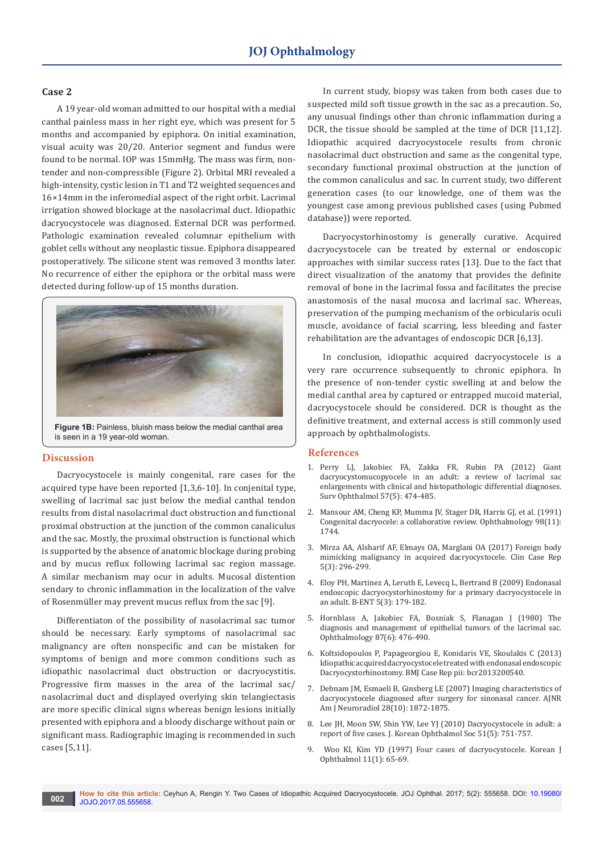## **Case 2**

A 19 year-old woman admitted to our hospital with a medial canthal painless mass in her right eye, which was present for 5 months and accompanied by epiphora. On initial examination, visual acuity was 20/20. Anterior segment and fundus were found to be normal. IOP was 15mmHg. The mass was firm, nontender and non-compressible (Figure 2). Orbital MRI revealed a high-intensity, cystic lesion in T1 and T2 weighted sequences and 16×14mm in the inferomedial aspect of the right orbit. Lacrimal irrigation showed blockage at the nasolacrimal duct. Idiopathic dacryocystocele was diagnosed. External DCR was performed. Pathologic examination revealed columnar epithelium with goblet cells without any neoplastic tissue. Epiphora disappeared postoperatively. The silicone stent was removed 3 months later. No recurrence of either the epiphora or the orbital mass were detected during follow-up of 15 months duration.



**Figure 1B:** Painless, bluish mass below the medial canthal area is seen in a 19 year-old woman.

#### **Discussion**

Dacryocystocele is mainly congenital, rare cases for the acquired type have been reported [1,3,6-10]. In conjenital type, swelling of lacrimal sac just below the medial canthal tendon results from distal nasolacrimal duct obstruction and functional proximal obstruction at the junction of the common canaliculus and the sac. Mostly, the proximal obstruction is functional which is supported by the absence of anatomic blockage during probing and by mucus reflux following lacrimal sac region massage. A similar mechanism may ocur in adults. Mucosal distention sendary to chronic inflammation in the localization of the valve of Rosenmüller may prevent mucus reflux from the sac [9].

Differentiaton of the possibility of nasolacrimal sac tumor should be necessary. Early symptoms of nasolacrimal sac malignancy are often nonspecific and can be mistaken for symptoms of benign and more common conditions such as idiopathic nasolacrimal duct obstruction or dacryocystitis. Progressive firm masses in the area of the lacrimal sac/ nasolacrimal duct and displayed overlying skin telangiectasis are more specific clinical signs whereas benign lesions initially presented with epiphora and a bloody discharge without pain or significant mass. Radiographic imaging is recommended in such cases [5,11].

In current study, biopsy was taken from both cases due to suspected mild soft tissue growth in the sac as a precaution. So, any unusual findings other than chronic inflammation during a DCR, the tissue should be sampled at the time of DCR [11,12]. Idiopathic acquired dacryocystocele results from chronic nasolacrimal duct obstruction and same as the congenital type, secondary functional proximal obstruction at the junction of the common canaliculus and sac. In current study, two different generation cases (to our knowledge, one of them was the youngest case among previous published cases (using Pubmed database)) were reported.

Dacryocystorhinostomy is generally curative. Acquired dacryocystocele can be treated by external or endoscopic approaches with similar success rates [13]. Due to the fact that direct visualization of the anatomy that provides the definite removal of bone in the lacrimal fossa and facilitates the precise anastomosis of the nasal mucosa and lacrimal sac. Whereas, preservation of the pumping mechanism of the orbicularis oculi muscle, avoidance of facial scarring, less bleeding and faster rehabilitation are the advantages of endoscopic DCR [6,13].

In conclusion, idiopathic acquired dacryocystocele is a very rare occurrence subsequently to chronic epiphora. In the presence of non-tender cystic swelling at and below the medial canthal area by captured or entrapped mucoid material, dacryocystocele should be considered. DCR is thought as the definitive treatment, and external access is still commonly used approach by ophthalmologists.

#### **References**

- 1. [Perry LJ, Jakobiec FA, Zakka FR, Rubin PA \(2012\) Giant](https://www.ncbi.nlm.nih.gov/pubmed/22784678)  [dacryocystomucopyocele in an adult: a review of lacrimal sac](https://www.ncbi.nlm.nih.gov/pubmed/22784678)  [enlargements with clinical and histopathologic differential diagnoses.](https://www.ncbi.nlm.nih.gov/pubmed/22784678)  [Surv Ophthalmol 57\(5\): 474-485.](https://www.ncbi.nlm.nih.gov/pubmed/22784678)
- 2. [Mansour AM, Cheng KP, Mumma JV, Stager DR, Harris GJ, et al. \(1991\)](https://www.ncbi.nlm.nih.gov/pubmed/1800937)  [Congenital dacryocele: a collaborative review. Ophthalmology 98\(11\):](https://www.ncbi.nlm.nih.gov/pubmed/1800937)  [1744.](https://www.ncbi.nlm.nih.gov/pubmed/1800937)
- 3. [Mirza AA, Alsharif AF, Elmays OA, Marglani OA \(2017\) Foreign body](https://www.ncbi.nlm.nih.gov/pubmed/28265394/)  [mimicking malignancy in acquired dacryocystocele. Clin Case Rep](https://www.ncbi.nlm.nih.gov/pubmed/28265394/)  [5\(3\): 296-299.](https://www.ncbi.nlm.nih.gov/pubmed/28265394/)
- 4. [Eloy PH, Martinez A, Leruth E, Levecq L, Bertrand B \(2009\) Endonasal](https://www.ncbi.nlm.nih.gov/pubmed/19902856)  [endoscopic dacryocystorhinostomy for a primary dacryocystocele in](https://www.ncbi.nlm.nih.gov/pubmed/19902856)  [an adult. B-ENT 5\(3\): 179-182.](https://www.ncbi.nlm.nih.gov/pubmed/19902856)
- 5. [Hornblass A, Jakobiec FA, Bosniak S, Flanagan J \(1980\) The](https://www.ncbi.nlm.nih.gov/pubmed/7413136)  [diagnosis and management of epithelial tumors of the lacrimal sac.](https://www.ncbi.nlm.nih.gov/pubmed/7413136)  [Ophthalmology 87\(6\): 476-490.](https://www.ncbi.nlm.nih.gov/pubmed/7413136)
- 6. [Koltsidopoulos P, Papageorgiou E, Konidaris VE, Skoulakis C \(2013\)](https://www.ncbi.nlm.nih.gov/pubmed/23960153)  [Idiopathic acquired dacryocystocele treated with endonasal endoscopic](https://www.ncbi.nlm.nih.gov/pubmed/23960153)  [Dacryocystorhinostomy. BMJ Case Rep pii: bcr2013200540.](https://www.ncbi.nlm.nih.gov/pubmed/23960153)
- 7. [Debnam JM, Esmaeli B, Ginsberg LE \(2007\) Imaging characteristics of](https://www.ncbi.nlm.nih.gov/pubmed/17921234)  [dacryocystocele diagnosed after surgery for sinonasal cancer. AJNR](https://www.ncbi.nlm.nih.gov/pubmed/17921234)  [Am J Neuroradiol 28\(10\): 1872-1875.](https://www.ncbi.nlm.nih.gov/pubmed/17921234)
- 8. [Lee JH, Moon SW, Shin YW, Lee YJ \(2010\) Dacryocystocele in adult: a](https://synapse.koreamed.org/DOIx.php?id=10.3341/jkos.2010.51.5.751&vmode=PUBREADER)  [report of five cases. J. Korean Ophthalmol Soc 51\(5\): 751-757.](https://synapse.koreamed.org/DOIx.php?id=10.3341/jkos.2010.51.5.751&vmode=PUBREADER)
- 9. [Woo KI, Kim YD \(1997\) Four cases of dacryocystocele. Korean J](https://www.ncbi.nlm.nih.gov/pubmed/9283156)  [Ophthalmol 11\(1\): 65-69.](https://www.ncbi.nlm.nih.gov/pubmed/9283156)